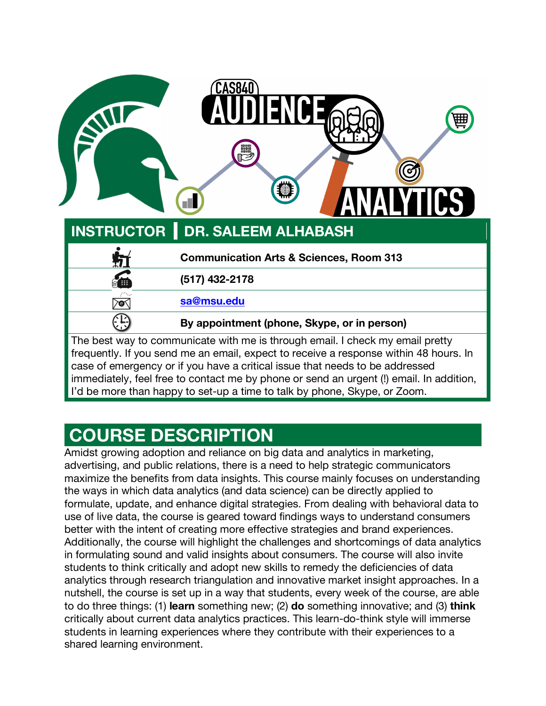| A   | olloid<br>Dolloi<br>HAT.                                                                                                                                               |
|-----|------------------------------------------------------------------------------------------------------------------------------------------------------------------------|
|     | <b>INSTRUCTOR   DR. SALEEM ALHABASH</b>                                                                                                                                |
|     | <b>Communication Arts &amp; Sciences, Room 313</b>                                                                                                                     |
| Œ   | (517) 432-2178                                                                                                                                                         |
| yo. | sa@msu.edu                                                                                                                                                             |
|     | By appointment (phone, Skype, or in person)                                                                                                                            |
|     | The best way to communicate with me is through email. I check my email pretty<br>frequently. If you send me an email, expect to receive a response within 48 hours. In |

case of emergency or if you have a critical issue that needs to be addressed immediately, feel free to contact me by phone or send an urgent (!) email. In addition, I'd be more than happy to set-up a time to talk by phone, Skype, or Zoom.

## **COURSE DESCRIPTION**

Amidst growing adoption and reliance on big data and analytics in marketing, advertising, and public relations, there is a need to help strategic communicators maximize the benefits from data insights. This course mainly focuses on understanding the ways in which data analytics (and data science) can be directly applied to formulate, update, and enhance digital strategies. From dealing with behavioral data to use of live data, the course is geared toward findings ways to understand consumers better with the intent of creating more effective strategies and brand experiences. Additionally, the course will highlight the challenges and shortcomings of data analytics in formulating sound and valid insights about consumers. The course will also invite students to think critically and adopt new skills to remedy the deficiencies of data analytics through research triangulation and innovative market insight approaches. In a nutshell, the course is set up in a way that students, every week of the course, are able to do three things: (1) **learn** something new; (2) **do** something innovative; and (3) **think** critically about current data analytics practices. This learn-do-think style will immerse students in learning experiences where they contribute with their experiences to a shared learning environment.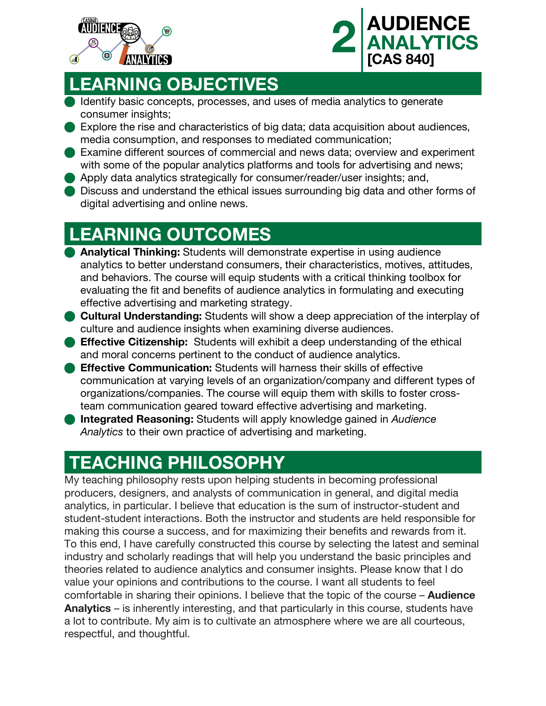



#### **LEARNING OBJECTIVES**

- Identify basic concepts, processes, and uses of media analytics to generate consumer insights;
- n Explore the rise and characteristics of big data; data acquisition about audiences, media consumption, and responses to mediated communication;
- Examine different sources of commercial and news data; overview and experiment with some of the popular analytics platforms and tools for advertising and news;
- Apply data analytics strategically for consumer/reader/user insights; and,
- **n** Discuss and understand the ethical issues surrounding big data and other forms of digital advertising and online news.

# **LEARNING OUTCOMES**

- n **Analytical Thinking:** Students will demonstrate expertise in using audience analytics to better understand consumers, their characteristics, motives, attitudes, and behaviors. The course will equip students with a critical thinking toolbox for evaluating the fit and benefits of audience analytics in formulating and executing effective advertising and marketing strategy.
- **Cultural Understanding:** Students will show a deep appreciation of the interplay of culture and audience insights when examining diverse audiences.
- **Effective Citizenship:** Students will exhibit a deep understanding of the ethical and moral concerns pertinent to the conduct of audience analytics.
- **Effective Communication:** Students will harness their skills of effective communication at varying levels of an organization/company and different types of organizations/companies. The course will equip them with skills to foster crossteam communication geared toward effective advertising and marketing.
- **n Integrated Reasoning:** Students will apply knowledge gained in *Audience Analytics* to their own practice of advertising and marketing.

# **TEACHING PHILOSOPHY**

My teaching philosophy rests upon helping students in becoming professional producers, designers, and analysts of communication in general, and digital media analytics, in particular. I believe that education is the sum of instructor-student and student-student interactions. Both the instructor and students are held responsible for making this course a success, and for maximizing their benefits and rewards from it. To this end, I have carefully constructed this course by selecting the latest and seminal industry and scholarly readings that will help you understand the basic principles and theories related to audience analytics and consumer insights. Please know that I do value your opinions and contributions to the course. I want all students to feel comfortable in sharing their opinions. I believe that the topic of the course – **Audience Analytics** – is inherently interesting, and that particularly in this course, students have a lot to contribute. My aim is to cultivate an atmosphere where we are all courteous, respectful, and thoughtful.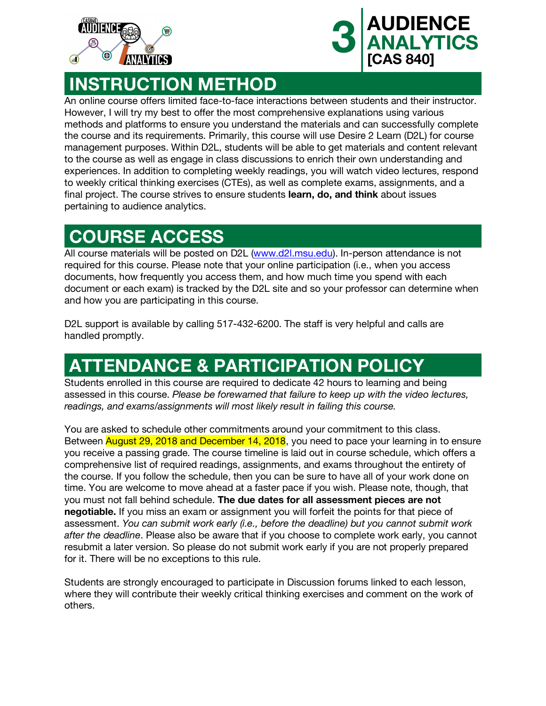



#### **INSTRUCTION METHOD**

An online course offers limited face-to-face interactions between students and their instructor. However, I will try my best to offer the most comprehensive explanations using various methods and platforms to ensure you understand the materials and can successfully complete the course and its requirements. Primarily, this course will use Desire 2 Learn (D2L) for course management purposes. Within D2L, students will be able to get materials and content relevant to the course as well as engage in class discussions to enrich their own understanding and experiences. In addition to completing weekly readings, you will watch video lectures, respond to weekly critical thinking exercises (CTEs), as well as complete exams, assignments, and a final project. The course strives to ensure students **learn, do, and think** about issues pertaining to audience analytics.

## **COURSE ACCESS**

All course materials will be posted on D2L (www.d2l.msu.edu). In-person attendance is not required for this course. Please note that your online participation (i.e., when you access documents, how frequently you access them, and how much time you spend with each document or each exam) is tracked by the D2L site and so your professor can determine when and how you are participating in this course.

D2L support is available by calling 517-432-6200. The staff is very helpful and calls are handled promptly.

## **ATTENDANCE & PARTICIPATION POLICY**

Students enrolled in this course are required to dedicate 42 hours to learning and being assessed in this course. *Please be forewarned that failure to keep up with the video lectures, readings, and exams/assignments will most likely result in failing this course.* 

You are asked to schedule other commitments around your commitment to this class. Between August 29, 2018 and December 14, 2018, you need to pace your learning in to ensure you receive a passing grade. The course timeline is laid out in course schedule, which offers a comprehensive list of required readings, assignments, and exams throughout the entirety of the course. If you follow the schedule, then you can be sure to have all of your work done on time. You are welcome to move ahead at a faster pace if you wish. Please note, though, that you must not fall behind schedule. **The due dates for all assessment pieces are not negotiable.** If you miss an exam or assignment you will forfeit the points for that piece of assessment. *You can submit work early (i.e., before the deadline) but you cannot submit work after the deadline*. Please also be aware that if you choose to complete work early, you cannot resubmit a later version. So please do not submit work early if you are not properly prepared for it. There will be no exceptions to this rule.

Students are strongly encouraged to participate in Discussion forums linked to each lesson, where they will contribute their weekly critical thinking exercises and comment on the work of others.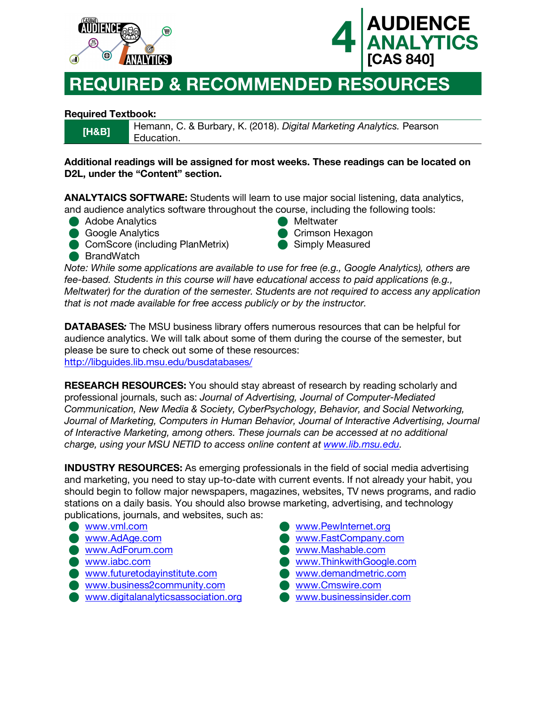



#### **REQUIRED & RECOMMENDED RESOURCES**

#### **Required Textbook:**

|  | ٠ |
|--|---|
|  |   |

**[Hemann, C. & Burbary, K. (2018).** *Digital Marketing Analytics.* **Pearson <b>[19] Figures** Education.

#### **Additional readings will be assigned for most weeks. These readings can be located on D2L, under the "Content" section.**

**ANALYTAICS SOFTWARE:** Students will learn to use major social listening, data analytics, and audience analytics software throughout the course, including the following tools:

- Adobe Analytics
- **Google Analytics**
- **ComScore (including PlanMetrix)**
- **■** BrandWatch

**Meltwater** Crimson Hexagon

- Simply Measured
- *Note: While some applications are available to use for free (e.g., Google Analytics), others are fee-based. Students in this course will have educational access to paid applications (e.g., Meltwater) for the duration of the semester. Students are not required to access any application that is not made available for free access publicly or by the instructor.*

**DATABASES***:* The MSU business library offers numerous resources that can be helpful for audience analytics. We will talk about some of them during the course of the semester, but please be sure to check out some of these resources: http://libguides.lib.msu.edu/busdatabases/

**RESEARCH RESOURCES:** You should stay abreast of research by reading scholarly and professional journals, such as: *Journal of Advertising, Journal of Computer-Mediated Communication, New Media & Society, CyberPsychology, Behavior, and Social Networking, Journal of Marketing, Computers in Human Behavior, Journal of Interactive Advertising, Journal of Interactive Marketing, among others. These journals can be accessed at no additional charge, using your MSU NETID to access online content at www.lib.msu.edu.* 

**INDUSTRY RESOURCES:** As emerging professionals in the field of social media advertising and marketing, you need to stay up-to-date with current events. If not already your habit, you should begin to follow major newspapers, magazines, websites, TV news programs, and radio stations on a daily basis. You should also browse marketing, advertising, and technology publications, journals, and websites, such as:

- www.vml.com
- www.AdAge.com
- **N** www.AdForum.com
- www.iabc.com
- www.futuretodayinstitute.com
- **N** www.business2community.com
- www.digitalanalyticsassociation.org
- **www.PewInternet.org** www.FastCompany.com www.Mashable.com **N** www.ThinkwithGoogle.com www.demandmetric.com **N** www.Cmswire.com
- www.businessinsider.com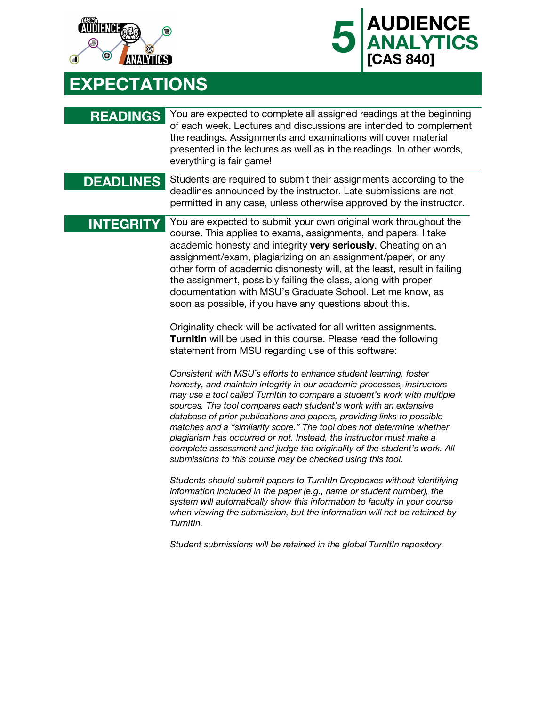



# **EXPECTATIONS**

| <b>READINGS</b>  | You are expected to complete all assigned readings at the beginning<br>of each week. Lectures and discussions are intended to complement<br>the readings. Assignments and examinations will cover material<br>presented in the lectures as well as in the readings. In other words,<br>everything is fair game!                                                                                                                                                                                                                                                                                                                                                                                                                                                                                                                                                                                                                                                                                                                                                                                                                                                                                                                                                                                                                                                                                                                                                                                                                                                                                                                                                                                                                                                                                                     |
|------------------|---------------------------------------------------------------------------------------------------------------------------------------------------------------------------------------------------------------------------------------------------------------------------------------------------------------------------------------------------------------------------------------------------------------------------------------------------------------------------------------------------------------------------------------------------------------------------------------------------------------------------------------------------------------------------------------------------------------------------------------------------------------------------------------------------------------------------------------------------------------------------------------------------------------------------------------------------------------------------------------------------------------------------------------------------------------------------------------------------------------------------------------------------------------------------------------------------------------------------------------------------------------------------------------------------------------------------------------------------------------------------------------------------------------------------------------------------------------------------------------------------------------------------------------------------------------------------------------------------------------------------------------------------------------------------------------------------------------------------------------------------------------------------------------------------------------------|
| <b>DEADLINES</b> | Students are required to submit their assignments according to the<br>deadlines announced by the instructor. Late submissions are not<br>permitted in any case, unless otherwise approved by the instructor.                                                                                                                                                                                                                                                                                                                                                                                                                                                                                                                                                                                                                                                                                                                                                                                                                                                                                                                                                                                                                                                                                                                                                                                                                                                                                                                                                                                                                                                                                                                                                                                                        |
| <b>INTEGRITY</b> | You are expected to submit your own original work throughout the<br>course. This applies to exams, assignments, and papers. I take<br>academic honesty and integrity very seriously. Cheating on an<br>assignment/exam, plagiarizing on an assignment/paper, or any<br>other form of academic dishonesty will, at the least, result in failing<br>the assignment, possibly failing the class, along with proper<br>documentation with MSU's Graduate School. Let me know, as<br>soon as possible, if you have any questions about this.<br>Originality check will be activated for all written assignments.<br><b>Turnitin</b> will be used in this course. Please read the following<br>statement from MSU regarding use of this software:<br>Consistent with MSU's efforts to enhance student learning, foster<br>honesty, and maintain integrity in our academic processes, instructors<br>may use a tool called Turnitin to compare a student's work with multiple<br>sources. The tool compares each student's work with an extensive<br>database of prior publications and papers, providing links to possible<br>matches and a "similarity score." The tool does not determine whether<br>plagiarism has occurred or not. Instead, the instructor must make a<br>complete assessment and judge the originality of the student's work. All<br>submissions to this course may be checked using this tool.<br>Students should submit papers to TurnItIn Dropboxes without identifying<br>information included in the paper (e.g., name or student number), the<br>system will automatically show this information to faculty in your course<br>when viewing the submission, but the information will not be retained by<br>TurnItIn.<br>Student submissions will be retained in the global TurnItIn repository. |
|                  |                                                                                                                                                                                                                                                                                                                                                                                                                                                                                                                                                                                                                                                                                                                                                                                                                                                                                                                                                                                                                                                                                                                                                                                                                                                                                                                                                                                                                                                                                                                                                                                                                                                                                                                                                                                                                     |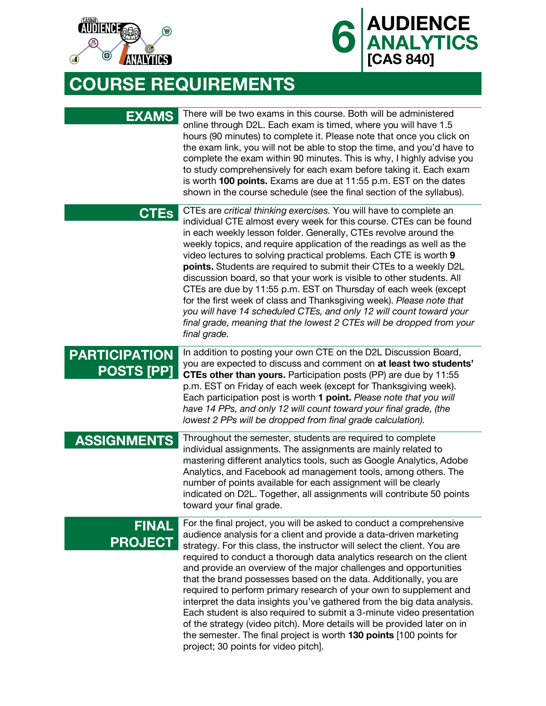



# **COURSE REQUIREMENTS**

| <b>EXAMS</b>                              | There will be two exams in this course. Both will be administered<br>online through D2L. Each exam is timed, where you will have 1.5<br>hours (90 minutes) to complete it. Please note that once you click on<br>the exam link, you will not be able to stop the time, and you'd have to<br>complete the exam within 90 minutes. This is why, I highly advise you<br>to study comprehensively for each exam before taking it. Each exam<br>is worth 100 points. Exams are due at 11:55 p.m. EST on the dates<br>shown in the course schedule (see the final section of the syllabus).                                                                                                                                                                                                                                                                        |
|-------------------------------------------|--------------------------------------------------------------------------------------------------------------------------------------------------------------------------------------------------------------------------------------------------------------------------------------------------------------------------------------------------------------------------------------------------------------------------------------------------------------------------------------------------------------------------------------------------------------------------------------------------------------------------------------------------------------------------------------------------------------------------------------------------------------------------------------------------------------------------------------------------------------|
| <b>CTEs</b>                               | CTEs are critical thinking exercises. You will have to complete an<br>individual CTE almost every week for this course. CTEs can be found<br>in each weekly lesson folder. Generally, CTEs revolve around the<br>weekly topics, and require application of the readings as well as the<br>video lectures to solving practical problems. Each CTE is worth 9<br>points. Students are required to submit their CTEs to a weekly D2L<br>discussion board, so that your work is visible to other students. All<br>CTEs are due by 11:55 p.m. EST on Thursday of each week (except<br>for the first week of class and Thanksgiving week). Please note that<br>you will have 14 scheduled CTEs, and only 12 will count toward your<br>final grade, meaning that the lowest 2 CTEs will be dropped from your<br>final grade.                                        |
| <b>PARTICIPATION</b><br><b>POSTS [PP]</b> | In addition to posting your own CTE on the D2L Discussion Board,<br>you are expected to discuss and comment on at least two students'<br>CTEs other than yours. Participation posts (PP) are due by 11:55<br>p.m. EST on Friday of each week (except for Thanksgiving week).<br>Each participation post is worth 1 point. Please note that you will<br>have 14 PPs, and only 12 will count toward your final grade, (the<br>lowest 2 PPs will be dropped from final grade calculation).                                                                                                                                                                                                                                                                                                                                                                      |
| <b>ASSIGNMENTS</b>                        | Throughout the semester, students are required to complete<br>individual assignments. The assignments are mainly related to<br>mastering different analytics tools, such as Google Analytics, Adobe<br>Analytics, and Facebook ad management tools, among others. The<br>number of points available for each assignment will be clearly<br>indicated on D2L. Together, all assignments will contribute 50 points<br>toward your final grade.                                                                                                                                                                                                                                                                                                                                                                                                                 |
| <b>FINAL</b><br><b>PROJECT</b>            | For the final project, you will be asked to conduct a comprehensive<br>audience analysis for a client and provide a data-driven marketing<br>strategy. For this class, the instructor will select the client. You are<br>required to conduct a thorough data analytics research on the client<br>and provide an overview of the major challenges and opportunities<br>that the brand possesses based on the data. Additionally, you are<br>required to perform primary research of your own to supplement and<br>interpret the data insights you've gathered from the big data analysis.<br>Each student is also required to submit a 3-minute video presentation<br>of the strategy (video pitch). More details will be provided later on in<br>the semester. The final project is worth 130 points [100 points for<br>project; 30 points for video pitch]. |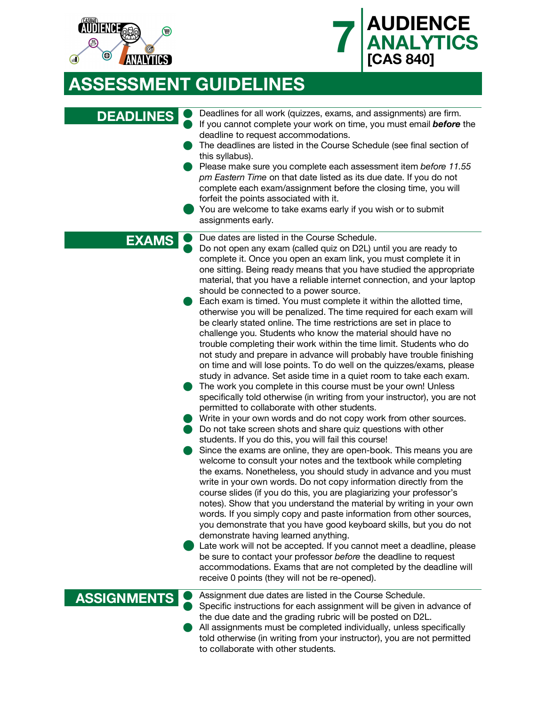



#### **ASSESSMENT GUIDELINES**

#### **DEADLINES** Deadlines for all work (quizzes, exams, and assignments) are firm. n If you cannot complete your work on time, you must email *before* the deadline to request accommodations.

- The deadlines are listed in the Course Schedule (see final section of this syllabus).
- n Please make sure you complete each assessment item *before 11.55 pm Eastern Time* on that date listed as its due date. If you do not complete each exam/assignment before the closing time, you will forfeit the points associated with it.
- You are welcome to take exams early if you wish or to submit assignments early.
- 

**EXAMS** Due dates are listed in the Course Schedule.

Do not open any exam (called quiz on D2L) until you are ready to complete it. Once you open an exam link, you must complete it in one sitting. Being ready means that you have studied the appropriate material, that you have a reliable internet connection, and your laptop should be connected to a power source.

- Each exam is timed. You must complete it within the allotted time. otherwise you will be penalized. The time required for each exam will be clearly stated online. The time restrictions are set in place to challenge you. Students who know the material should have no trouble completing their work within the time limit. Students who do not study and prepare in advance will probably have trouble finishing on time and will lose points. To do well on the quizzes/exams, please study in advance. Set aside time in a quiet room to take each exam.
- The work you complete in this course must be your own! Unless specifically told otherwise (in writing from your instructor), you are not permitted to collaborate with other students.
- Write in your own words and do not copy work from other sources.
- **n** Do not take screen shots and share quiz questions with other students. If you do this, you will fail this course!

Since the exams are online, they are open-book. This means you are welcome to consult your notes and the textbook while completing the exams. Nonetheless, you should study in advance and you must write in your own words. Do not copy information directly from the course slides (if you do this, you are plagiarizing your professor's notes). Show that you understand the material by writing in your own words. If you simply copy and paste information from other sources, you demonstrate that you have good keyboard skills, but you do not demonstrate having learned anything.

Late work will not be accepted. If you cannot meet a deadline, please be sure to contact your professor *before* the deadline to request accommodations. Exams that are not completed by the deadline will receive 0 points (they will not be re-opened).

**ASSIGNMENTS** Assignment due dates are listed in the Course Schedule. Specific instructions for each assignment will be given in advance of the due date and the grading rubric will be posted on D2L.

All assignments must be completed individually, unless specifically told otherwise (in writing from your instructor), you are not permitted to collaborate with other students.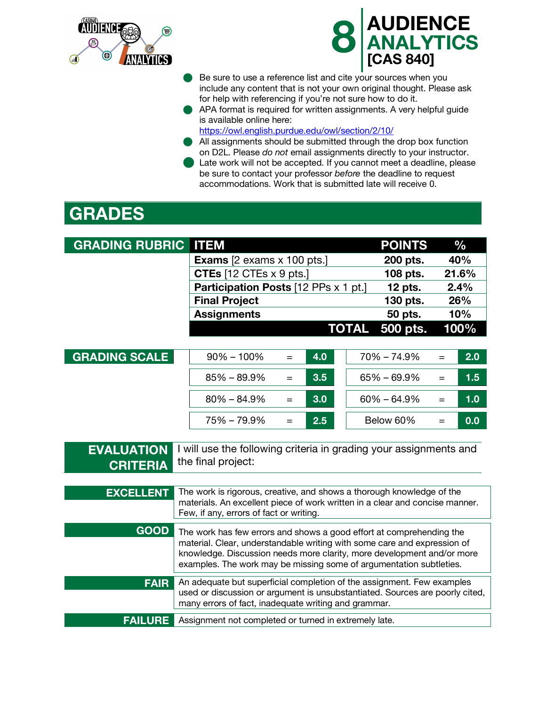



- Be sure to use a reference list and cite your sources when you include any content that is not your own original thought. Please ask for help with referencing if you're not sure how to do it.
- APA format is required for written assignments. A very helpful guide is available online here:
- https://owl.english.purdue.edu/owl/section/2/10/
- All assignments should be submitted through the drop box function on D2L. Please *do not* email assignments directly to your instructor.

Late work will not be accepted. If you cannot meet a deadline, please be sure to contact your professor *before* the deadline to request accommodations. Work that is submitted late will receive 0.

## **GRADES**

| <b>GRADING RUBRIC</b>                | <b>ITEM</b>                                                                                                                                                                                                                                                                                       | <b>POINTS</b><br>$\frac{0}{0}$   |
|--------------------------------------|---------------------------------------------------------------------------------------------------------------------------------------------------------------------------------------------------------------------------------------------------------------------------------------------------|----------------------------------|
|                                      | <b>Exams</b> $[2 \text{ exams} \times 100 \text{ pts.}]$                                                                                                                                                                                                                                          | 40%<br>200 pts.                  |
|                                      | <b>CTEs</b> $[12 \text{ CTEs} \times 9 \text{ pts.}]$                                                                                                                                                                                                                                             | 108 pts.<br>21.6%                |
|                                      | Participation Posts [12 PPs x 1 pt.]                                                                                                                                                                                                                                                              | 2.4%<br>$12$ pts.                |
|                                      | <b>Final Project</b>                                                                                                                                                                                                                                                                              | 130 pts.<br>26%                  |
|                                      | <b>Assignments</b>                                                                                                                                                                                                                                                                                | 10%<br>50 pts.                   |
|                                      |                                                                                                                                                                                                                                                                                                   | <b>TOTAL</b><br>500 pts.<br>100% |
|                                      |                                                                                                                                                                                                                                                                                                   |                                  |
| <b>GRADING SCALE</b>                 | $90\% - 100\%$<br>4.0<br>$=$                                                                                                                                                                                                                                                                      | $70\% - 74.9\%$<br>2.0<br>$=$    |
|                                      | $85\% - 89.9\%$<br>3.5<br>$=$                                                                                                                                                                                                                                                                     | $65\% - 69.9\%$<br>1.5<br>$=$    |
|                                      | $80\% - 84.9\%$<br>3.0<br>$=$                                                                                                                                                                                                                                                                     | $60\% - 64.9\%$<br>1.0<br>$=$    |
|                                      | 2.5<br>75% - 79.9%<br>$=$                                                                                                                                                                                                                                                                         | 0.0<br>Below 60%<br>$=$          |
| <b>EVALUATION</b><br><b>CRITERIA</b> | I will use the following criteria in grading your assignments and<br>the final project:                                                                                                                                                                                                           |                                  |
| <b>EXCELLENT</b>                     | The work is rigorous, creative, and shows a thorough knowledge of the<br>materials. An excellent piece of work written in a clear and concise manner.<br>Few, if any, errors of fact or writing.                                                                                                  |                                  |
| GOOD                                 | The work has few errors and shows a good effort at comprehending the<br>material. Clear, understandable writing with some care and expression of<br>knowledge. Discussion needs more clarity, more development and/or more<br>examples. The work may be missing some of argumentation subtleties. |                                  |
| <b>FAIR</b>                          | An adequate but superficial completion of the assignment. Few examples<br>used or discussion or argument is unsubstantiated. Sources are poorly cited,<br>many errors of fact, inadequate writing and grammar.                                                                                    |                                  |
| <b>FAILURE</b>                       | Assignment not completed or turned in extremely late.                                                                                                                                                                                                                                             |                                  |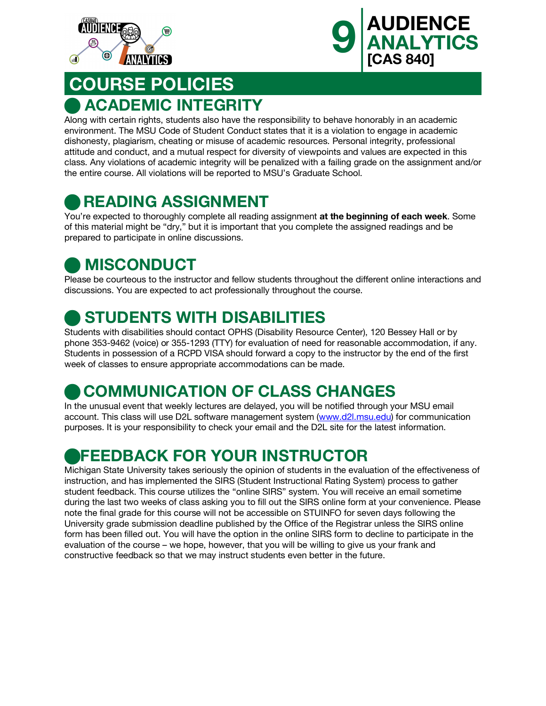



#### **COURSE POLICIES**  n **ACADEMIC INTEGRITY**

Along with certain rights, students also have the responsibility to behave honorably in an academic environment. The MSU Code of Student Conduct states that it is a violation to engage in academic dishonesty, plagiarism, cheating or misuse of academic resources. Personal integrity, professional attitude and conduct, and a mutual respect for diversity of viewpoints and values are expected in this class. Any violations of academic integrity will be penalized with a failing grade on the assignment and/or the entire course. All violations will be reported to MSU's Graduate School.

#### n **READING ASSIGNMENT**

You're expected to thoroughly complete all reading assignment **at the beginning of each week**. Some of this material might be "dry," but it is important that you complete the assigned readings and be prepared to participate in online discussions.

#### **MISCONDUCT**

Please be courteous to the instructor and fellow students throughout the different online interactions and discussions. You are expected to act professionally throughout the course.

#### **STUDENTS WITH DISABILITIES**

Students with disabilities should contact OPHS (Disability Resource Center), 120 Bessey Hall or by phone 353-9462 (voice) or 355-1293 (TTY) for evaluation of need for reasonable accommodation, if any. Students in possession of a RCPD VISA should forward a copy to the instructor by the end of the first week of classes to ensure appropriate accommodations can be made.

#### **COMMUNICATION OF CLASS CHANGES**

In the unusual event that weekly lectures are delayed, you will be notified through your MSU email account. This class will use D2L software management system (www.d2l.msu.edu) for communication purposes. It is your responsibility to check your email and the D2L site for the latest information.

#### n**FEEDBACK FOR YOUR INSTRUCTOR**

Michigan State University takes seriously the opinion of students in the evaluation of the effectiveness of instruction, and has implemented the SIRS (Student Instructional Rating System) process to gather student feedback. This course utilizes the "online SIRS" system. You will receive an email sometime during the last two weeks of class asking you to fill out the SIRS online form at your convenience. Please note the final grade for this course will not be accessible on STUINFO for seven days following the University grade submission deadline published by the Office of the Registrar unless the SIRS online form has been filled out. You will have the option in the online SIRS form to decline to participate in the evaluation of the course – we hope, however, that you will be willing to give us your frank and constructive feedback so that we may instruct students even better in the future.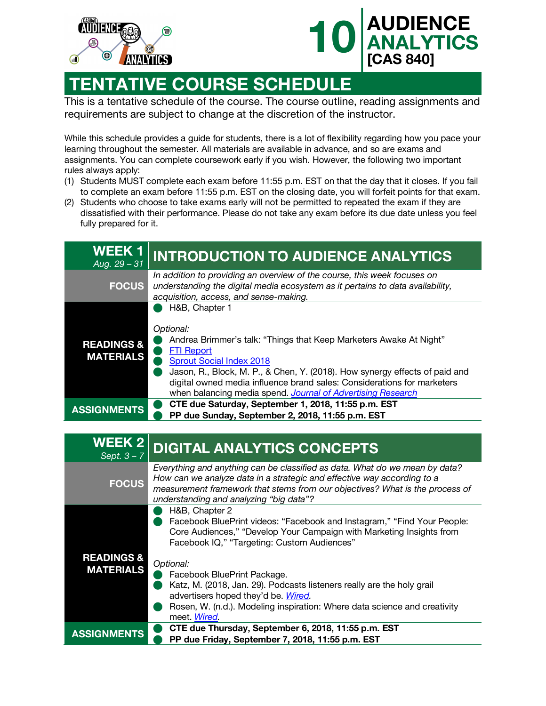



#### **TENTATIVE COURSE SCHEDULE**

This is a tentative schedule of the course. The course outline, reading assignments and requirements are subject to change at the discretion of the instructor.

While this schedule provides a guide for students, there is a lot of flexibility regarding how you pace your learning throughout the semester. All materials are available in advance, and so are exams and assignments. You can complete coursework early if you wish. However, the following two important rules always apply:

- (1) Students MUST complete each exam before 11:55 p.m. EST on that the day that it closes. If you fail to complete an exam before 11:55 p.m. EST on the closing date, you will forfeit points for that exam.
- (2) Students who choose to take exams early will not be permitted to repeated the exam if they are dissatisfied with their performance. Please do not take any exam before its due date unless you feel fully prepared for it.

| <b>WEEK1</b><br>Aug. $29 - 31$            | <b>INTRODUCTION TO AUDIENCE ANALYTICS</b>                                                                                                                                                                                                                                                                                                                                          |
|-------------------------------------------|------------------------------------------------------------------------------------------------------------------------------------------------------------------------------------------------------------------------------------------------------------------------------------------------------------------------------------------------------------------------------------|
| <b>FOCUS</b>                              | In addition to providing an overview of the course, this week focuses on<br>understanding the digital media ecosystem as it pertains to data availability,<br>acquisition, access, and sense-making.                                                                                                                                                                               |
| <b>READINGS &amp;</b><br><b>MATERIALS</b> | H&B, Chapter 1<br>Optional:<br>Andrea Brimmer's talk: "Things that Keep Marketers Awake At Night"<br><b>FTI Report</b><br><b>Sprout Social Index 2018</b><br>Jason, R., Block, M. P., & Chen, Y. (2018). How synergy effects of paid and<br>digital owned media influence brand sales: Considerations for marketers<br>when balancing media spend. Journal of Advertising Research |
| <b>ASSIGNMENTS</b>                        | CTE due Saturday, September 1, 2018, 11:55 p.m. EST<br>PP due Sunday, September 2, 2018, 11:55 p.m. EST                                                                                                                                                                                                                                                                            |

| <b>WEEK 2</b><br>Sept. $3 - 7$            | <b>DIGITAL ANALYTICS CONCEPTS</b>                                                                                                                                                                                                                                                 |
|-------------------------------------------|-----------------------------------------------------------------------------------------------------------------------------------------------------------------------------------------------------------------------------------------------------------------------------------|
| <b>FOCUS</b>                              | Everything and anything can be classified as data. What do we mean by data?<br>How can we analyze data in a strategic and effective way according to a<br>measurement framework that stems from our objectives? What is the process of<br>understanding and analyzing "big data"? |
|                                           | H&B, Chapter 2<br>Facebook BluePrint videos: "Facebook and Instagram," "Find Your People:<br>Core Audiences," "Develop Your Campaign with Marketing Insights from<br>Facebook IQ," "Targeting: Custom Audiences"                                                                  |
| <b>READINGS &amp;</b><br><b>MATERIALS</b> | Optional:<br>Facebook BluePrint Package.<br>Katz, M. (2018, Jan. 29). Podcasts listeners really are the holy grail<br>advertisers hoped they'd be. Wired.<br>Rosen, W. (n.d.). Modeling inspiration: Where data science and creativity<br>meet. Wired.                            |
| <b>ASSIGNMENTS</b>                        | CTE due Thursday, September 6, 2018, 11:55 p.m. EST<br>PP due Friday, September 7, 2018, 11:55 p.m. EST                                                                                                                                                                           |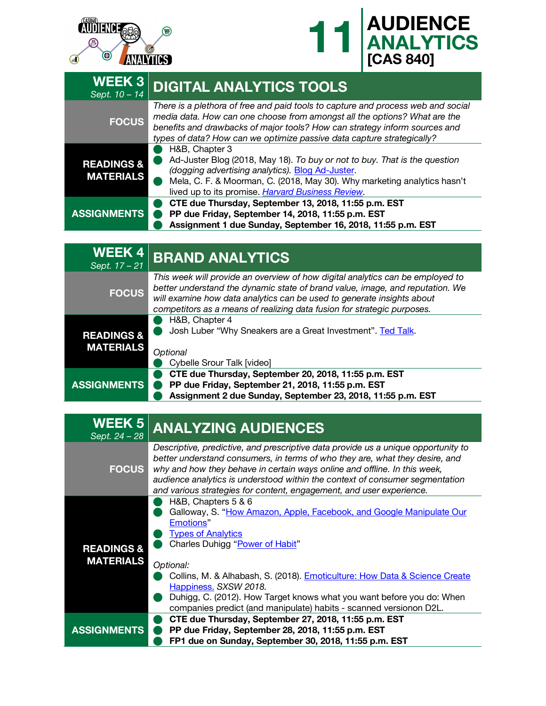



| <b>WEEK3</b><br>Sept. 10 - 14             | <b>DIGITAL ANALYTICS TOOLS</b>                                                                                                                                                                                                                                                                                        |
|-------------------------------------------|-----------------------------------------------------------------------------------------------------------------------------------------------------------------------------------------------------------------------------------------------------------------------------------------------------------------------|
| <b>FOCUS</b>                              | There is a plethora of free and paid tools to capture and process web and social<br>media data. How can one choose from amongst all the options? What are the<br>benefits and drawbacks of major tools? How can strategy inform sources and<br>types of data? How can we optimize passive data capture strategically? |
| <b>READINGS &amp;</b><br><b>MATERIALS</b> | H&B, Chapter 3<br>Ad-Juster Blog (2018, May 18). To buy or not to buy. That is the question<br>(dogging advertising analytics). Blog Ad-Juster.<br>Mela, C. F. & Moorman, C. (2018, May 30). Why marketing analytics hasn't<br>lived up to its promise. Harvard Business Review.                                      |
| <b>ASSIGNMENTS</b>                        | CTE due Thursday, September 13, 2018, 11:55 p.m. EST<br>PP due Friday, September 14, 2018, 11:55 p.m. EST<br>Assignment 1 due Sunday, September 16, 2018, 11:55 p.m. EST                                                                                                                                              |

| <b>WEEK4</b><br>Sept. 17 - 21             | <b>BRAND ANALYTICS</b>                                                                                                                                                                                                                                                                                               |
|-------------------------------------------|----------------------------------------------------------------------------------------------------------------------------------------------------------------------------------------------------------------------------------------------------------------------------------------------------------------------|
| <b>FOCUS</b>                              | This week will provide an overview of how digital analytics can be employed to<br>better understand the dynamic state of brand value, image, and reputation. We<br>will examine how data analytics can be used to generate insights about<br>competitors as a means of realizing data fusion for strategic purposes. |
| <b>READINGS &amp;</b><br><b>MATERIALS</b> | H&B, Chapter 4<br>Josh Luber "Why Sneakers are a Great Investment". Ted Talk.<br>Optional<br>Cybelle Srour Talk [video]                                                                                                                                                                                              |
| <b>ASSIGNMENTS</b>                        | CTE due Thursday, September 20, 2018, 11:55 p.m. EST<br>PP due Friday, September 21, 2018, 11:55 p.m. EST<br>Assignment 2 due Sunday, September 23, 2018, 11:55 p.m. EST                                                                                                                                             |

| <b>WEEK 5</b><br>Sept. 24 - 28 | <b>ANALYZING AUDIENCES</b>                                                                                                                                                                                                                                                                                                                                                                             |
|--------------------------------|--------------------------------------------------------------------------------------------------------------------------------------------------------------------------------------------------------------------------------------------------------------------------------------------------------------------------------------------------------------------------------------------------------|
| <b>FOCUS</b>                   | Descriptive, predictive, and prescriptive data provide us a unique opportunity to<br>better understand consumers, in terms of who they are, what they desire, and<br>why and how they behave in certain ways online and offline. In this week,<br>audience analytics is understood within the context of consumer segmentation<br>and various strategies for content, engagement, and user experience. |
| <b>READINGS &amp;</b>          | H&B, Chapters 5 & 6<br>Galloway, S. "How Amazon, Apple, Facebook, and Google Manipulate Our<br><b>Emotions"</b><br><b>Types of Analytics</b><br>Charles Duhigg "Power of Habit"                                                                                                                                                                                                                        |
| <b>MATERIALS</b>               | Optional:<br>Collins, M. & Alhabash, S. (2018). Emoticulture: How Data & Science Create<br>Happiness. SXSW 2018.<br>Duhigg, C. (2012). How Target knows what you want before you do: When<br>companies predict (and manipulate) habits - scanned versionon D2L.                                                                                                                                        |
| <b>ASSIGNMENTS</b>             | CTE due Thursday, September 27, 2018, 11:55 p.m. EST<br>PP due Friday, September 28, 2018, 11:55 p.m. EST<br>FP1 due on Sunday, September 30, 2018, 11:55 p.m. EST                                                                                                                                                                                                                                     |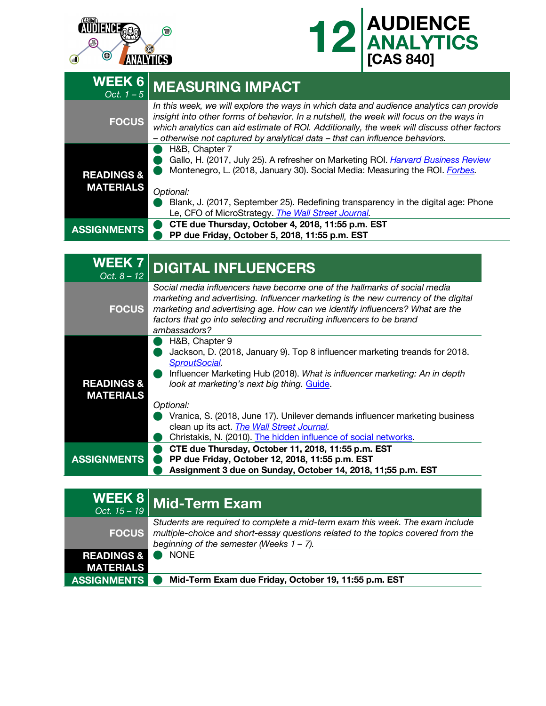



| <b>WEEK 6</b><br>Oct. $1 - 5$             | <b>MEASURING IMPACT</b>                                                                                                                                                                                                                                                                                                                                         |
|-------------------------------------------|-----------------------------------------------------------------------------------------------------------------------------------------------------------------------------------------------------------------------------------------------------------------------------------------------------------------------------------------------------------------|
| <b>FOCUS</b>                              | In this week, we will explore the ways in which data and audience analytics can provide<br>insight into other forms of behavior. In a nutshell, the week will focus on the ways in<br>which analytics can aid estimate of ROI. Additionally, the week will discuss other factors<br>- otherwise not captured by analytical data - that can influence behaviors. |
| <b>READINGS &amp;</b><br><b>MATERIALS</b> | H&B, Chapter 7<br>Gallo, H. (2017, July 25). A refresher on Marketing ROI. Harvard Business Review<br>Montenegro, L. (2018, January 30). Social Media: Measuring the ROI. Forbes.<br>Optional:<br>Blank, J. (2017, September 25). Redefining transparency in the digital age: Phone<br>Le, CFO of MicroStrategy. The Wall Street Journal.                       |
| <b>ASSIGNMENTS</b>                        | CTE due Thursday, October 4, 2018, 11:55 p.m. EST<br>PP due Friday, October 5, 2018, 11:55 p.m. EST                                                                                                                                                                                                                                                             |

| WEEK 7<br>Oct. $8 - 12$                   | <b>DIGITAL INFLUENCERS</b>                                                                                                                                                                                                                                                                                                               |
|-------------------------------------------|------------------------------------------------------------------------------------------------------------------------------------------------------------------------------------------------------------------------------------------------------------------------------------------------------------------------------------------|
| <b>FOCUS</b>                              | Social media influencers have become one of the hallmarks of social media<br>marketing and advertising. Influencer marketing is the new currency of the digital<br>marketing and advertising age. How can we identify influencers? What are the<br>factors that go into selecting and recruiting influencers to be brand<br>ambassadors? |
| <b>READINGS &amp;</b><br><b>MATERIALS</b> | H&B, Chapter 9<br>Jackson, D. (2018, January 9). Top 8 influencer marketing treands for 2018.<br><b>SproutSocial</b><br>Influencer Marketing Hub (2018). What is influencer marketing: An in depth<br>look at marketing's next big thing. Guide.                                                                                         |
|                                           | Optional:<br>Vranica, S. (2018, June 17). Unilever demands influencer marketing business<br>clean up its act. <i>The Wall Street Journal</i> .<br>Christakis, N. (2010). The hidden influence of social networks.                                                                                                                        |
| <b>ASSIGNMENTS</b>                        | CTE due Thursday, October 11, 2018, 11:55 p.m. EST<br>PP due Friday, October 12, 2018, 11:55 p.m. EST<br>Assignment 3 due on Sunday, October 14, 2018, 11;55 p.m. EST                                                                                                                                                                    |

|                                           | $\left[\left(\begin{array}{c}\mathbf{W}\mathbf{E}\mathbf{E}\mathbf{K}\mathbf{B}\\ \mathbf{Oct.} & 15-19\end{array}\right]\right]$ Mid-Term Exam                                                                               |
|-------------------------------------------|-------------------------------------------------------------------------------------------------------------------------------------------------------------------------------------------------------------------------------|
|                                           | Students are required to complete a mid-term exam this week. The exam include<br><b>FOCUS</b> multiple-choice and short-essay questions related to the topics covered from the<br>beginning of the semester (Weeks $1 - 7$ ). |
| <b>READINGS &amp;</b><br><b>MATERIALS</b> | <b>NONE</b>                                                                                                                                                                                                                   |
| <b>ASSIGNMENTS</b>                        | Mid-Term Exam due Friday, October 19, 11:55 p.m. EST                                                                                                                                                                          |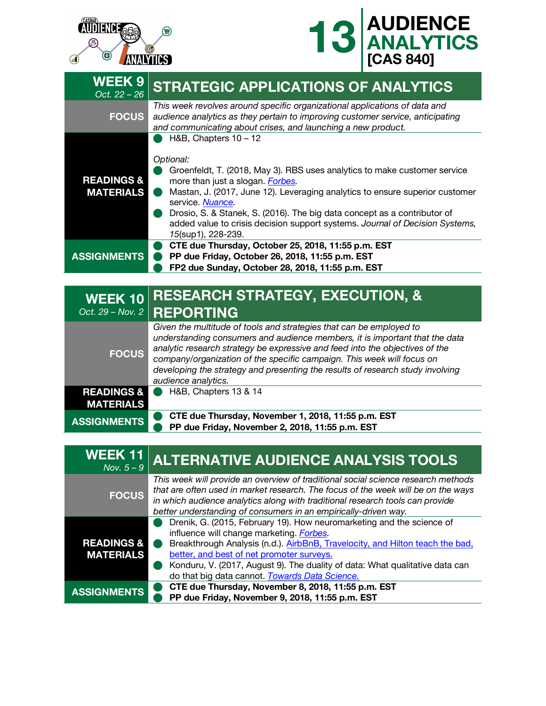



| <b>WEEK 9</b><br>Oct. $22 - 26$           | <b>STRATEGIC APPLICATIONS OF ANALYTICS</b>                                                                                                                                                                                                                                                                                                                                                                                                        |
|-------------------------------------------|---------------------------------------------------------------------------------------------------------------------------------------------------------------------------------------------------------------------------------------------------------------------------------------------------------------------------------------------------------------------------------------------------------------------------------------------------|
| <b>FOCUS</b>                              | This week revolves around specific organizational applications of data and<br>audience analytics as they pertain to improving customer service, anticipating<br>and communicating about crises, and launching a new product.                                                                                                                                                                                                                      |
| <b>READINGS &amp;</b><br><b>MATERIALS</b> | H&B, Chapters $10 - 12$<br>Optional:<br>Groenfeldt, T. (2018, May 3). RBS uses analytics to make customer service<br>more than just a slogan. <b>Forbes</b> .<br>Mastan, J. (2017, June 12). Leveraging analytics to ensure superior customer<br>service Nuance<br>Drosio, S. & Stanek, S. (2016). The big data concept as a contributor of<br>added value to crisis decision support systems. Journal of Decision Systems,<br>15(sup1), 228-239. |
| <b>ASSIGNMENTS</b>                        | CTE due Thursday, October 25, 2018, 11:55 p.m. EST<br>PP due Friday, October 26, 2018, 11:55 p.m. EST<br>FP2 due Sunday, October 28, 2018, 11:55 p.m. EST                                                                                                                                                                                                                                                                                         |

|                                           | WEEK 10 RESEARCH STRATEGY, EXECUTION, &<br>Oct. 29 – Nov. 2   REPORTING                                                                                                                                                                                                                                                                                                                                               |
|-------------------------------------------|-----------------------------------------------------------------------------------------------------------------------------------------------------------------------------------------------------------------------------------------------------------------------------------------------------------------------------------------------------------------------------------------------------------------------|
| <b>FOCUS</b>                              | Given the multitude of tools and strategies that can be employed to<br>understanding consumers and audience members, it is important that the data<br>analytic research strategy be expressive and feed into the objectives of the<br>company/organization of the specific campaign. This week will focus on<br>developing the strategy and presenting the results of research study involving<br>audience analytics. |
| <b>READINGS &amp;</b><br><b>MATERIALS</b> | H&B, Chapters 13 & 14                                                                                                                                                                                                                                                                                                                                                                                                 |
| <b>ASSIGNMENTS</b>                        | CTE due Thursday, November 1, 2018, 11:55 p.m. EST<br>PP due Friday, November 2, 2018, 11:55 p.m. EST                                                                                                                                                                                                                                                                                                                 |

| <b>WEEK11</b><br>Nov. $5 - 9$             | <b>ALTERNATIVE AUDIENCE ANALYSIS TOOLS</b>                                                                                                                                                                                                                                                                                                                                        |
|-------------------------------------------|-----------------------------------------------------------------------------------------------------------------------------------------------------------------------------------------------------------------------------------------------------------------------------------------------------------------------------------------------------------------------------------|
| <b>FOCUS</b>                              | This week will provide an overview of traditional social science research methods<br>that are often used in market research. The focus of the week will be on the ways<br>in which audience analytics along with traditional research tools can provide<br>better understanding of consumers in an empirically-driven way.                                                        |
| <b>READINGS &amp;</b><br><b>MATERIALS</b> | Drenik, G. (2015, February 19). How neuromarketing and the science of<br>influence will change marketing. Forbes.<br>Breakthrough Analysis (n.d.). AirbBnB, Travelocity, and Hilton teach the bad,<br>better, and best of net promoter surveys.<br>Konduru, V. (2017, August 9). The duality of data: What qualitative data can<br>do that big data cannot. Towards Data Science. |
| <b>ASSIGNMENTS</b>                        | CTE due Thursday, November 8, 2018, 11:55 p.m. EST<br>PP due Friday, November 9, 2018, 11:55 p.m. EST                                                                                                                                                                                                                                                                             |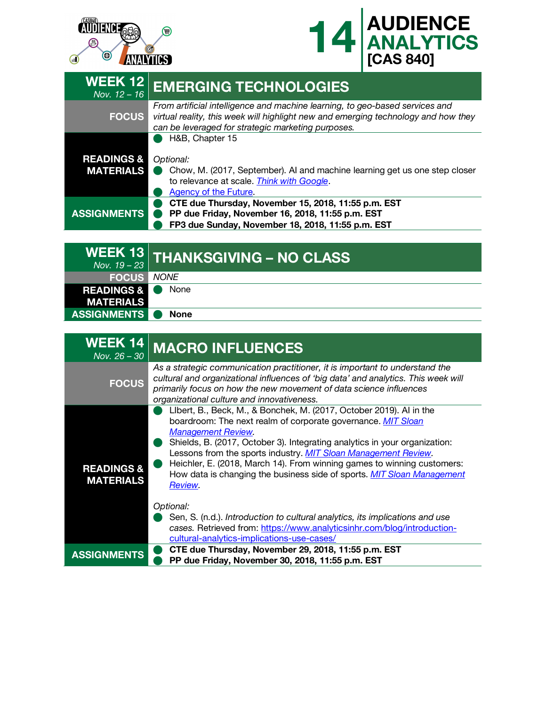



| <b>WEEK 12</b><br>Nov. 12 - 16            | <b>EMERGING TECHNOLOGIES</b>                                                                                                                                                                                             |
|-------------------------------------------|--------------------------------------------------------------------------------------------------------------------------------------------------------------------------------------------------------------------------|
| <b>FOCUS</b>                              | From artificial intelligence and machine learning, to geo-based services and<br>virtual reality, this week will highlight new and emerging technology and how they<br>can be leveraged for strategic marketing purposes. |
| <b>READINGS &amp;</b><br><b>MATERIALS</b> | H&B, Chapter 15<br>Optional:<br>Chow, M. (2017, September). Al and machine learning get us one step closer<br>to relevance at scale. Think with Google.<br><b>Agency of the Future.</b>                                  |
| <b>ASSIGNMENTS</b>                        | CTE due Thursday, November 15, 2018, 11:55 p.m. EST<br>PP due Friday, November 16, 2018, 11:55 p.m. EST<br>FP3 due Sunday, November 18, 2018, 11:55 p.m. EST                                                             |

|                              | WEEK 13 THANKSGIVING - NO CLASS |
|------------------------------|---------------------------------|
| <b>FOCUS   NONE</b>          |                                 |
| <b>READINGS &amp; O None</b> |                                 |
| <b>MATERIALS</b>             |                                 |
| ASSIGNMENTS O None           |                                 |

| <b>WEEK 14</b><br>Nov. 26 - 30            | <b>MACRO INFLUENCES</b>                                                                                                                                                                                                                                                                                                                                                                                                                                                          |
|-------------------------------------------|----------------------------------------------------------------------------------------------------------------------------------------------------------------------------------------------------------------------------------------------------------------------------------------------------------------------------------------------------------------------------------------------------------------------------------------------------------------------------------|
| <b>FOCUS</b>                              | As a strategic communication practitioner, it is important to understand the<br>cultural and organizational influences of 'big data' and analytics. This week will<br>primarily focus on how the new movement of data science influences<br>organizational culture and innovativeness.                                                                                                                                                                                           |
| <b>READINGS &amp;</b><br><b>MATERIALS</b> | Libert, B., Beck, M., & Bonchek, M. (2017, October 2019). Al in the<br>boardroom: The next realm of corporate governance. MIT Sloan<br><b>Management Review.</b><br>Shields, B. (2017, October 3). Integrating analytics in your organization:<br>Lessons from the sports industry. MIT Sloan Management Review.<br>Heichler, E. (2018, March 14). From winning games to winning customers:<br>How data is changing the business side of sports. MIT Sloan Management<br>Review. |
|                                           | Optional:                                                                                                                                                                                                                                                                                                                                                                                                                                                                        |
|                                           | Sen, S. (n.d.). Introduction to cultural analytics, its implications and use<br>cases. Retrieved from: https://www.analyticsinhr.com/blog/introduction-<br>cultural-analytics-implications-use-cases/                                                                                                                                                                                                                                                                            |
| <b>ASSIGNMENTS</b>                        | CTE due Thursday, November 29, 2018, 11:55 p.m. EST<br>PP due Friday, November 30, 2018, 11:55 p.m. EST                                                                                                                                                                                                                                                                                                                                                                          |